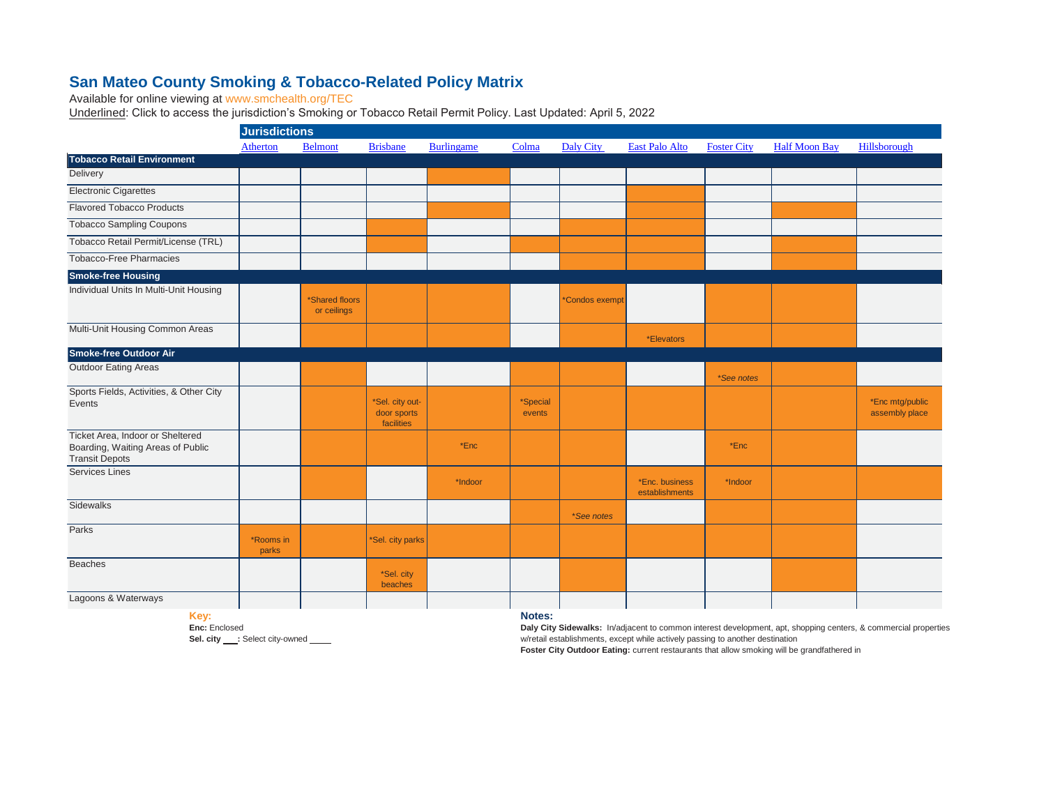## **[San Mateo County Smo](http://www.smchealth.org/TEC)king & Tobacco-Related Policy Matrix**

[Available for online viewing at ww](http://www.smchealth.org/TEC)w.smchealth.org/TEC

[Underlined: Click to access the ju](http://www.smchealth.org/TEC)risdiction's Smoking or Tobacco Retail Permit Policy. Last Updated: April 5, 2022

|                                                                                                | <b>Jurisdictions</b> |                               |                                              |                   |                    |                  |                                  |                    |                      |                                   |
|------------------------------------------------------------------------------------------------|----------------------|-------------------------------|----------------------------------------------|-------------------|--------------------|------------------|----------------------------------|--------------------|----------------------|-----------------------------------|
|                                                                                                | Atherton             | <b>Belmont</b>                | <b>Brisbane</b>                              | <b>Burlingame</b> | Colma              | <b>Daly City</b> | <b>East Palo Alto</b>            | <b>Foster City</b> | <b>Half Moon Bay</b> | Hillsborough                      |
| <b>Tobacco Retail Environment</b>                                                              |                      |                               |                                              |                   |                    |                  |                                  |                    |                      |                                   |
| Delivery                                                                                       |                      |                               |                                              |                   |                    |                  |                                  |                    |                      |                                   |
| <b>Electronic Cigarettes</b>                                                                   |                      |                               |                                              |                   |                    |                  |                                  |                    |                      |                                   |
| <b>Flavored Tobacco Products</b>                                                               |                      |                               |                                              |                   |                    |                  |                                  |                    |                      |                                   |
| <b>Tobacco Sampling Coupons</b>                                                                |                      |                               |                                              |                   |                    |                  |                                  |                    |                      |                                   |
| Tobacco Retail Permit/License (TRL)                                                            |                      |                               |                                              |                   |                    |                  |                                  |                    |                      |                                   |
| Tobacco-Free Pharmacies                                                                        |                      |                               |                                              |                   |                    |                  |                                  |                    |                      |                                   |
| <b>Smoke-free Housing</b>                                                                      |                      |                               |                                              |                   |                    |                  |                                  |                    |                      |                                   |
| Individual Units In Multi-Unit Housing                                                         |                      | *Shared floors<br>or ceilings |                                              |                   |                    | *Condos exempt   |                                  |                    |                      |                                   |
| Multi-Unit Housing Common Areas                                                                |                      |                               |                                              |                   |                    |                  | *Elevators                       |                    |                      |                                   |
| Smoke-free Outdoor Air                                                                         |                      |                               |                                              |                   |                    |                  |                                  |                    |                      |                                   |
| <b>Outdoor Eating Areas</b>                                                                    |                      |                               |                                              |                   |                    |                  |                                  | *See notes         |                      |                                   |
| Sports Fields, Activities, & Other City<br>Events                                              |                      |                               | *Sel. city out-<br>door sports<br>facilities |                   | *Special<br>events |                  |                                  |                    |                      | *Enc mtg/public<br>assembly place |
| Ticket Area, Indoor or Sheltered<br>Boarding, Waiting Areas of Public<br><b>Transit Depots</b> |                      |                               |                                              | *Enc              |                    |                  |                                  | $*Enc$             |                      |                                   |
| <b>Services Lines</b>                                                                          |                      |                               |                                              | *Indoor           |                    |                  | *Enc. business<br>establishments | *Indoor            |                      |                                   |
| Sidewalks                                                                                      |                      |                               |                                              |                   |                    | *See notes       |                                  |                    |                      |                                   |
| Parks                                                                                          | *Rooms in<br>parks   |                               | *Sel. city parks                             |                   |                    |                  |                                  |                    |                      |                                   |
| <b>Beaches</b>                                                                                 |                      |                               | *Sel. city<br>beaches                        |                   |                    |                  |                                  |                    |                      |                                   |
| Lagoons & Waterways                                                                            |                      |                               |                                              |                   |                    |                  |                                  |                    |                      |                                   |

**Key:**

**Enc:** Enclosed Sel. city \_\_\_: Select city-owned \_\_\_\_\_ **Notes:**

**Daly City Sidewalks:** In/adjacent to common interest development, apt, shopping centers, & commercial properties w/retail establishments, except while actively passing to another destination

**Foster City Outdoor Eating:** current restaurants that allow smoking will be grandfathered in